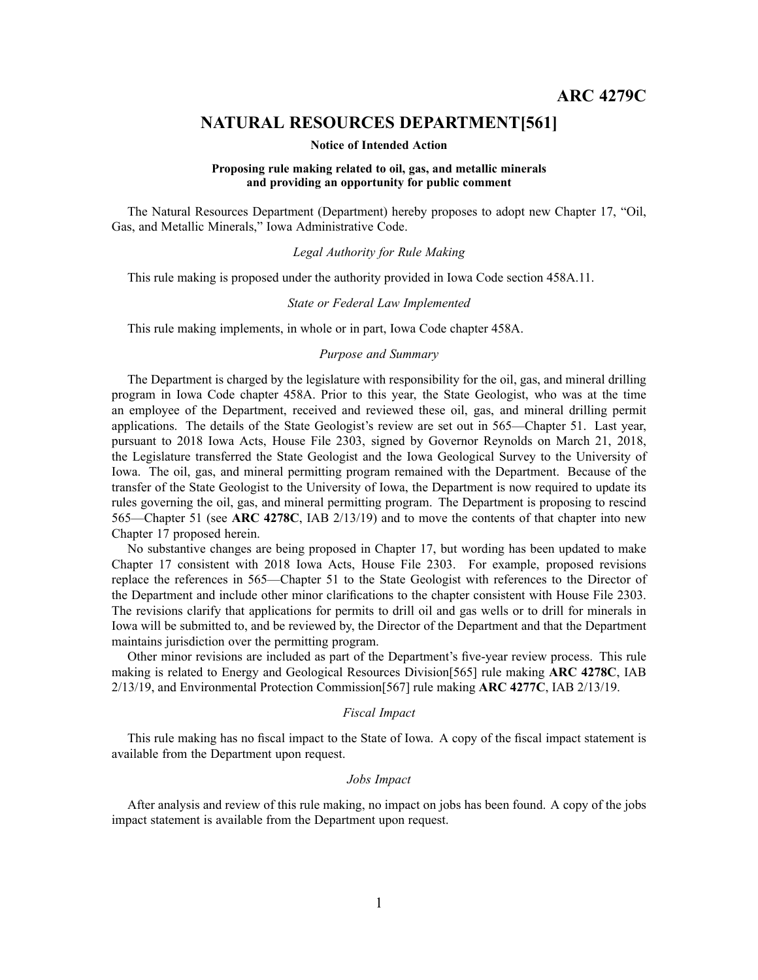# **NATURAL RESOURCES DEPARTMENT[561]**

### **Notice of Intended Action**

# **Proposing rule making related to oil, gas, and metallic minerals and providing an opportunity for public comment**

The Natural Resources Department (Department) hereby proposes to adopt new Chapter 17, "Oil, Gas, and Metallic Minerals," Iowa Administrative Code.

## *Legal Authority for Rule Making*

This rule making is proposed under the authority provided in Iowa Code section 458A.11.

#### *State or Federal Law Implemented*

This rule making implements, in whole or in part, Iowa Code chapter 458A.

# *Purpose and Summary*

The Department is charged by the legislature with responsibility for the oil, gas, and mineral drilling program in Iowa Code chapter 458A. Prior to this year, the State Geologist, who was at the time an employee of the Department, received and reviewed these oil, gas, and mineral drilling permit applications. The details of the State Geologist's review are set out in 565—Chapter 51. Last year, pursuan<sup>t</sup> to 2018 Iowa Acts, House File 2303, signed by Governor Reynolds on March 21, 2018, the Legislature transferred the State Geologist and the Iowa Geological Survey to the University of Iowa. The oil, gas, and mineral permitting program remained with the Department. Because of the transfer of the State Geologist to the University of Iowa, the Department is now required to update its rules governing the oil, gas, and mineral permitting program. The Department is proposing to rescind 565—Chapter 51 (see **ARC 4278C**, IAB 2/13/19) and to move the contents of that chapter into new Chapter 17 proposed herein.

No substantive changes are being proposed in Chapter 17, but wording has been updated to make Chapter 17 consistent with 2018 Iowa Acts, House File 2303. For example, proposed revisions replace the references in 565—Chapter 51 to the State Geologist with references to the Director of the Department and include other minor clarifications to the chapter consistent with House File 2303. The revisions clarify that applications for permits to drill oil and gas wells or to drill for minerals in Iowa will be submitted to, and be reviewed by, the Director of the Department and that the Department maintains jurisdiction over the permitting program.

Other minor revisions are included as par<sup>t</sup> of the Department's five-year review process. This rule making is related to Energy and Geological Resources Division[565] rule making **ARC 4278C**, IAB 2/13/19, and Environmental Protection Commission[567] rule making **ARC 4277C**, IAB 2/13/19.

## *Fiscal Impact*

This rule making has no fiscal impact to the State of Iowa. A copy of the fiscal impact statement is available from the Department upon request.

# *Jobs Impact*

After analysis and review of this rule making, no impact on jobs has been found. A copy of the jobs impact statement is available from the Department upon request.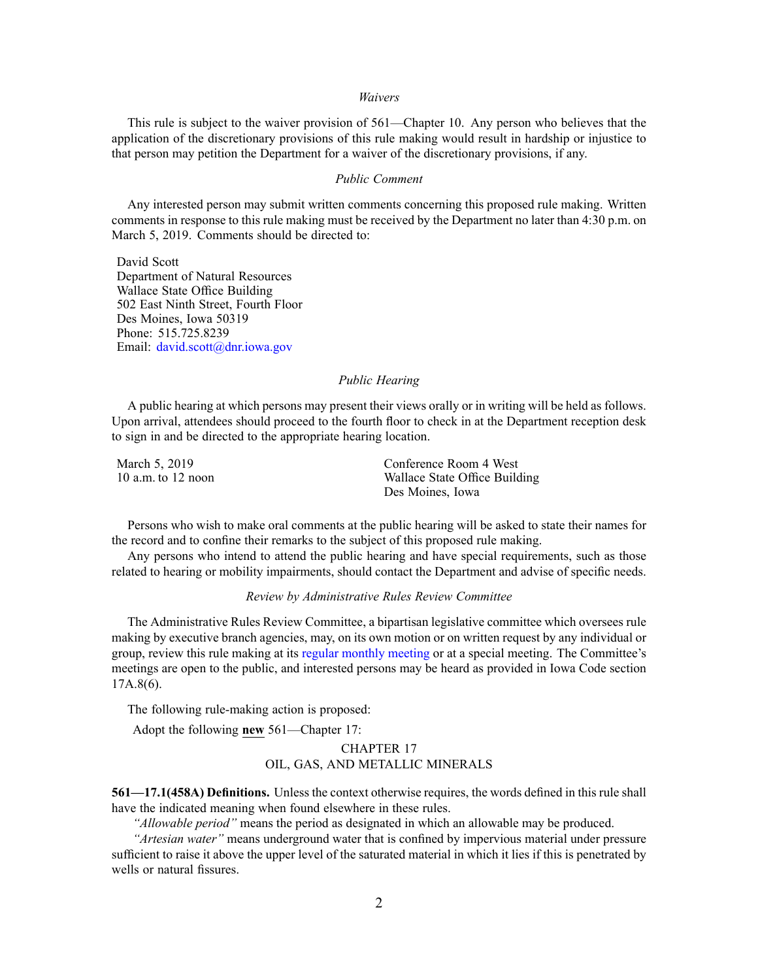#### *Waivers*

This rule is subject to the waiver provision of 561—Chapter 10. Any person who believes that the application of the discretionary provisions of this rule making would result in hardship or injustice to that person may petition the Department for <sup>a</sup> waiver of the discretionary provisions, if any.

#### *Public Comment*

Any interested person may submit written comments concerning this proposed rule making. Written comments in response to this rule making must be received by the Department no later than 4:30 p.m. on March 5, 2019. Comments should be directed to:

David Scott Department of Natural Resources Wallace State Office Building 502 East Ninth Street, Fourth Floor Des Moines, Iowa 50319 Phone: 515.725.8239 Email: [david.scott@dnr.iowa.gov](mailto:david.scott@dnr.iowa.gov)

### *Public Hearing*

A public hearing at which persons may presen<sup>t</sup> their views orally or in writing will be held as follows. Upon arrival, attendees should proceed to the fourth floor to check in at the Department reception desk to sign in and be directed to the appropriate hearing location.

| March 5, 2019          | Conference Room 4 West        |
|------------------------|-------------------------------|
| $10$ a.m. to $12$ noon | Wallace State Office Building |
|                        | Des Moines, Iowa              |

Persons who wish to make oral comments at the public hearing will be asked to state their names for the record and to confine their remarks to the subject of this proposed rule making.

Any persons who intend to attend the public hearing and have special requirements, such as those related to hearing or mobility impairments, should contact the Department and advise of specific needs.

#### *Review by Administrative Rules Review Committee*

The Administrative Rules Review Committee, <sup>a</sup> bipartisan legislative committee which oversees rule making by executive branch agencies, may, on its own motion or on written reques<sup>t</sup> by any individual or group, review this rule making at its regular [monthly](https://www.legis.iowa.gov/committees/meetings/meetingsListComm?groupID=705&ga=88) meeting or at <sup>a</sup> special meeting. The Committee's meetings are open to the public, and interested persons may be heard as provided in Iowa Code section 17A.8(6).

The following rule-making action is proposed:

Adopt the following **new** 561—Chapter 17:

# CHAPTER 17 OIL, GAS, AND METALLIC MINERALS

**561—17.1(458A) Definitions.** Unless the context otherwise requires, the words defined in this rule shall have the indicated meaning when found elsewhere in these rules.

*"Allowable period"* means the period as designated in which an allowable may be produced.

*"Artesian water"* means underground water that is confined by impervious material under pressure sufficient to raise it above the upper level of the saturated material in which it lies if this is penetrated by wells or natural fissures.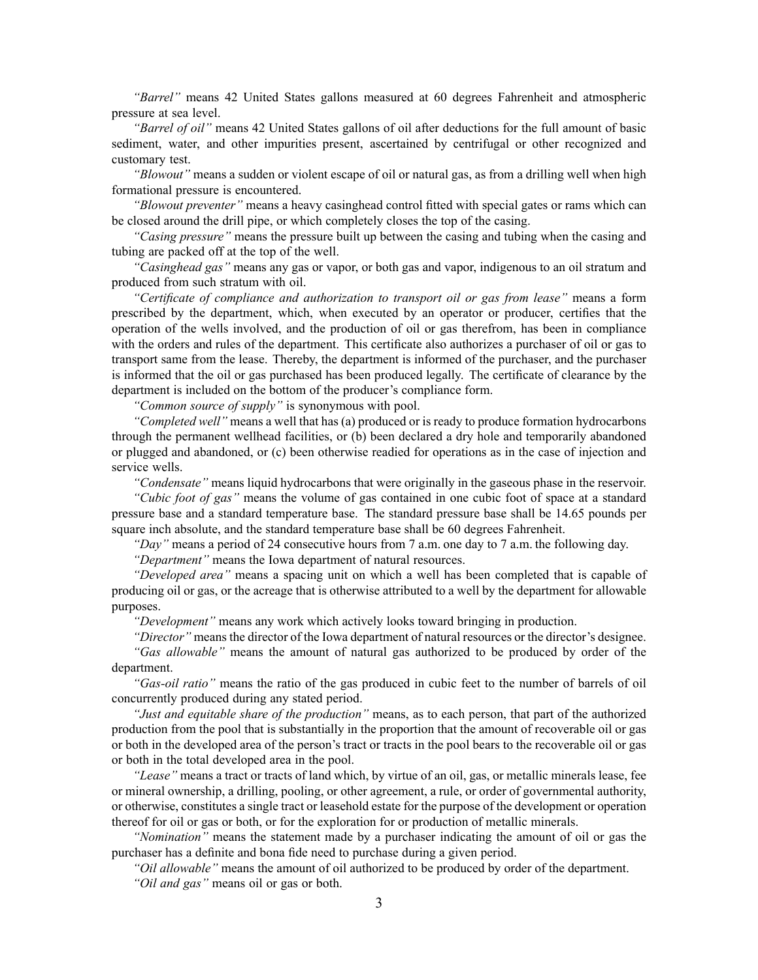*"Barrel"* means 42 United States gallons measured at 60 degrees Fahrenheit and atmospheric pressure at sea level.

*"Barrel of oil"* means 42 United States gallons of oil after deductions for the full amount of basic sediment, water, and other impurities present, ascertained by centrifugal or other recognized and customary test.

*"Blowout"* means <sup>a</sup> sudden or violent escape of oil or natural gas, as from <sup>a</sup> drilling well when high formational pressure is encountered.

*"Blowout preventer"* means <sup>a</sup> heavy casinghead control fitted with special gates or rams which can be closed around the drill pipe, or which completely closes the top of the casing.

*"Casing pressure"* means the pressure built up between the casing and tubing when the casing and tubing are packed off at the top of the well.

*"Casinghead gas"* means any gas or vapor, or both gas and vapor, indigenous to an oil stratum and produced from such stratum with oil.

*"Certificate of compliance and authorization to transport oil or gas from lease"* means <sup>a</sup> form prescribed by the department, which, when executed by an operator or producer, certifies that the operation of the wells involved, and the production of oil or gas therefrom, has been in compliance with the orders and rules of the department. This certificate also authorizes <sup>a</sup> purchaser of oil or gas to transport same from the lease. Thereby, the department is informed of the purchaser, and the purchaser is informed that the oil or gas purchased has been produced legally. The certificate of clearance by the department is included on the bottom of the producer's compliance form.

*"Common source of supply"* is synonymous with pool.

*"Completed well"* means <sup>a</sup> well that has (a) produced or is ready to produce formation hydrocarbons through the permanen<sup>t</sup> wellhead facilities, or (b) been declared <sup>a</sup> dry hole and temporarily abandoned or plugged and abandoned, or (c) been otherwise readied for operations as in the case of injection and service wells.

*"Condensate"* means liquid hydrocarbons that were originally in the gaseous phase in the reservoir.

*"Cubic foot of gas"* means the volume of gas contained in one cubic foot of space at <sup>a</sup> standard pressure base and <sup>a</sup> standard temperature base. The standard pressure base shall be 14.65 pounds per square inch absolute, and the standard temperature base shall be 60 degrees Fahrenheit.

*"Day"* means <sup>a</sup> period of 24 consecutive hours from 7 a.m. one day to 7 a.m. the following day.

*"Department"* means the Iowa department of natural resources.

*"Developed area"* means <sup>a</sup> spacing unit on which <sup>a</sup> well has been completed that is capable of producing oil or gas, or the acreage that is otherwise attributed to <sup>a</sup> well by the department for allowable purposes.

*"Development"* means any work which actively looks toward bringing in production.

*"Director"* means the director of the Iowa department of natural resources or the director's designee.

*"Gas allowable"* means the amount of natural gas authorized to be produced by order of the department.

*"Gas-oil ratio"* means the ratio of the gas produced in cubic feet to the number of barrels of oil concurrently produced during any stated period.

*"Just and equitable share of the production"* means, as to each person, that par<sup>t</sup> of the authorized production from the pool that is substantially in the proportion that the amount of recoverable oil or gas or both in the developed area of the person's tract or tracts in the pool bears to the recoverable oil or gas or both in the total developed area in the pool.

*"Lease"* means <sup>a</sup> tract or tracts of land which, by virtue of an oil, gas, or metallic minerals lease, fee or mineral ownership, <sup>a</sup> drilling, pooling, or other agreement, <sup>a</sup> rule, or order of governmental authority, or otherwise, constitutes <sup>a</sup> single tract or leasehold estate for the purpose of the development or operation thereof for oil or gas or both, or for the exploration for or production of metallic minerals.

*"Nomination"* means the statement made by <sup>a</sup> purchaser indicating the amount of oil or gas the purchaser has <sup>a</sup> definite and bona fide need to purchase during <sup>a</sup> given period.

*"Oil allowable"* means the amount of oil authorized to be produced by order of the department. *"Oil and gas"* means oil or gas or both.

3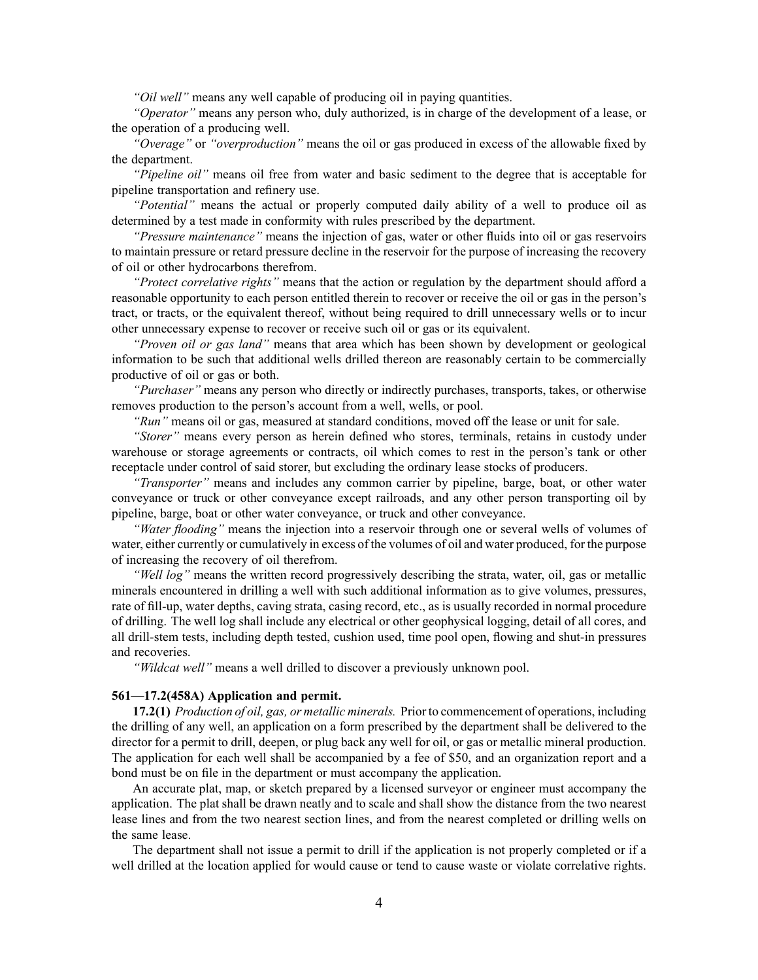*"Oil well"* means any well capable of producing oil in paying quantities.

*"Operator"* means any person who, duly authorized, is in charge of the development of <sup>a</sup> lease, or the operation of <sup>a</sup> producing well.

*"Overage"* or *"overproduction"* means the oil or gas produced in excess of the allowable fixed by the department.

*"Pipeline oil"* means oil free from water and basic sediment to the degree that is acceptable for pipeline transportation and refinery use.

*"Potential"* means the actual or properly computed daily ability of <sup>a</sup> well to produce oil as determined by <sup>a</sup> test made in conformity with rules prescribed by the department.

*"Pressure maintenance"* means the injection of gas, water or other fluids into oil or gas reservoirs to maintain pressure or retard pressure decline in the reservoir for the purpose of increasing the recovery of oil or other hydrocarbons therefrom.

*"Protect correlative rights"* means that the action or regulation by the department should afford <sup>a</sup> reasonable opportunity to each person entitled therein to recover or receive the oil or gas in the person's tract, or tracts, or the equivalent thereof, without being required to drill unnecessary wells or to incur other unnecessary expense to recover or receive such oil or gas or its equivalent.

*"Proven oil or gas land"* means that area which has been shown by development or geological information to be such that additional wells drilled thereon are reasonably certain to be commercially productive of oil or gas or both.

*"Purchaser"* means any person who directly or indirectly purchases, transports, takes, or otherwise removes production to the person's account from <sup>a</sup> well, wells, or pool.

*"Run"* means oil or gas, measured at standard conditions, moved off the lease or unit for sale.

*"Storer"* means every person as herein defined who stores, terminals, retains in custody under warehouse or storage agreements or contracts, oil which comes to rest in the person's tank or other receptacle under control of said storer, but excluding the ordinary lease stocks of producers.

*"Transporter"* means and includes any common carrier by pipeline, barge, boat, or other water conveyance or truck or other conveyance excep<sup>t</sup> railroads, and any other person transporting oil by pipeline, barge, boat or other water conveyance, or truck and other conveyance.

*"Water flooding"* means the injection into <sup>a</sup> reservoir through one or several wells of volumes of water, either currently or cumulatively in excess of the volumes of oil and water produced, for the purpose of increasing the recovery of oil therefrom.

*"Well log"* means the written record progressively describing the strata, water, oil, gas or metallic minerals encountered in drilling <sup>a</sup> well with such additional information as to give volumes, pressures, rate of fill-up, water depths, caving strata, casing record, etc., as is usually recorded in normal procedure of drilling. The well log shall include any electrical or other geophysical logging, detail of all cores, and all drill-stem tests, including depth tested, cushion used, time pool open, flowing and shut-in pressures and recoveries.

*"Wildcat well"* means <sup>a</sup> well drilled to discover <sup>a</sup> previously unknown pool.

### **561—17.2(458A) Application and permit.**

**17.2(1)** *Production of oil, gas, or metallic minerals.* Prior to commencement of operations, including the drilling of any well, an application on <sup>a</sup> form prescribed by the department shall be delivered to the director for <sup>a</sup> permit to drill, deepen, or plug back any well for oil, or gas or metallic mineral production. The application for each well shall be accompanied by <sup>a</sup> fee of \$50, and an organization repor<sup>t</sup> and <sup>a</sup> bond must be on file in the department or must accompany the application.

An accurate plat, map, or sketch prepared by <sup>a</sup> licensed surveyor or engineer must accompany the application. The plat shall be drawn neatly and to scale and shall show the distance from the two nearest lease lines and from the two nearest section lines, and from the nearest completed or drilling wells on the same lease.

The department shall not issue <sup>a</sup> permit to drill if the application is not properly completed or if <sup>a</sup> well drilled at the location applied for would cause or tend to cause waste or violate correlative rights.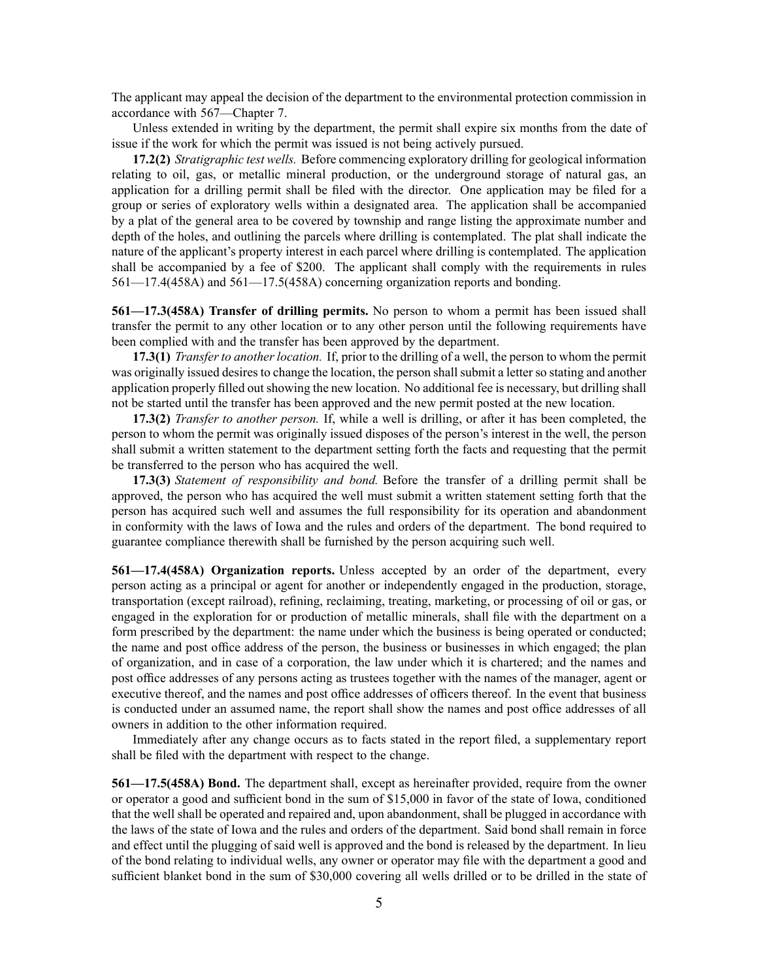The applicant may appeal the decision of the department to the environmental protection commission in accordance with [567—Chapter](https://www.legis.iowa.gov/docs/iac/chapter/567.7.pdf) 7.

Unless extended in writing by the department, the permit shall expire six months from the date of issue if the work for which the permit was issued is not being actively pursued.

**17.2(2)** *Stratigraphic test wells.* Before commencing exploratory drilling for geological information relating to oil, gas, or metallic mineral production, or the underground storage of natural gas, an application for <sup>a</sup> drilling permit shall be filed with the director. One application may be filed for <sup>a</sup> group or series of exploratory wells within <sup>a</sup> designated area. The application shall be accompanied by <sup>a</sup> plat of the general area to be covered by township and range listing the approximate number and depth of the holes, and outlining the parcels where drilling is contemplated. The plat shall indicate the nature of the applicant's property interest in each parcel where drilling is contemplated. The application shall be accompanied by <sup>a</sup> fee of \$200. The applicant shall comply with the requirements in rules [561—17.4](https://www.legis.iowa.gov/docs/iac/rule/561.17.4.pdf)(458A) and [561—17.5](https://www.legis.iowa.gov/docs/iac/rule/561.17.5.pdf)(458A) concerning organization reports and bonding.

**561—17.3(458A) Transfer of drilling permits.** No person to whom <sup>a</sup> permit has been issued shall transfer the permit to any other location or to any other person until the following requirements have been complied with and the transfer has been approved by the department.

**17.3(1)** *Transfer to another location.* If, prior to the drilling of <sup>a</sup> well, the person to whom the permit was originally issued desires to change the location, the person shall submit a letter so stating and another application properly filled out showing the new location. No additional fee is necessary, but drilling shall not be started until the transfer has been approved and the new permit posted at the new location.

**17.3(2)** *Transfer to another person.* If, while <sup>a</sup> well is drilling, or after it has been completed, the person to whom the permit was originally issued disposes of the person's interest in the well, the person shall submit <sup>a</sup> written statement to the department setting forth the facts and requesting that the permit be transferred to the person who has acquired the well.

**17.3(3)** *Statement of responsibility and bond.* Before the transfer of <sup>a</sup> drilling permit shall be approved, the person who has acquired the well must submit <sup>a</sup> written statement setting forth that the person has acquired such well and assumes the full responsibility for its operation and abandonment in conformity with the laws of Iowa and the rules and orders of the department. The bond required to guarantee compliance therewith shall be furnished by the person acquiring such well.

**561—17.4(458A) Organization reports.** Unless accepted by an order of the department, every person acting as <sup>a</sup> principal or agen<sup>t</sup> for another or independently engaged in the production, storage, transportation (except railroad), refining, reclaiming, treating, marketing, or processing of oil or gas, or engaged in the exploration for or production of metallic minerals, shall file with the department on <sup>a</sup> form prescribed by the department: the name under which the business is being operated or conducted; the name and pos<sup>t</sup> office address of the person, the business or businesses in which engaged; the plan of organization, and in case of <sup>a</sup> corporation, the law under which it is chartered; and the names and pos<sup>t</sup> office addresses of any persons acting as trustees together with the names of the manager, agen<sup>t</sup> or executive thereof, and the names and pos<sup>t</sup> office addresses of officers thereof. In the event that business is conducted under an assumed name, the repor<sup>t</sup> shall show the names and pos<sup>t</sup> office addresses of all owners in addition to the other information required.

Immediately after any change occurs as to facts stated in the repor<sup>t</sup> filed, <sup>a</sup> supplementary repor<sup>t</sup> shall be filed with the department with respec<sup>t</sup> to the change.

**561—17.5(458A) Bond.** The department shall, excep<sup>t</sup> as hereinafter provided, require from the owner or operator <sup>a</sup> good and sufficient bond in the sum of \$15,000 in favor of the state of Iowa, conditioned that the well shall be operated and repaired and, upon abandonment, shall be plugged in accordance with the laws of the state of Iowa and the rules and orders of the department. Said bond shall remain in force and effect until the plugging of said well is approved and the bond is released by the department. In lieu of the bond relating to individual wells, any owner or operator may file with the department <sup>a</sup> good and sufficient blanket bond in the sum of \$30,000 covering all wells drilled or to be drilled in the state of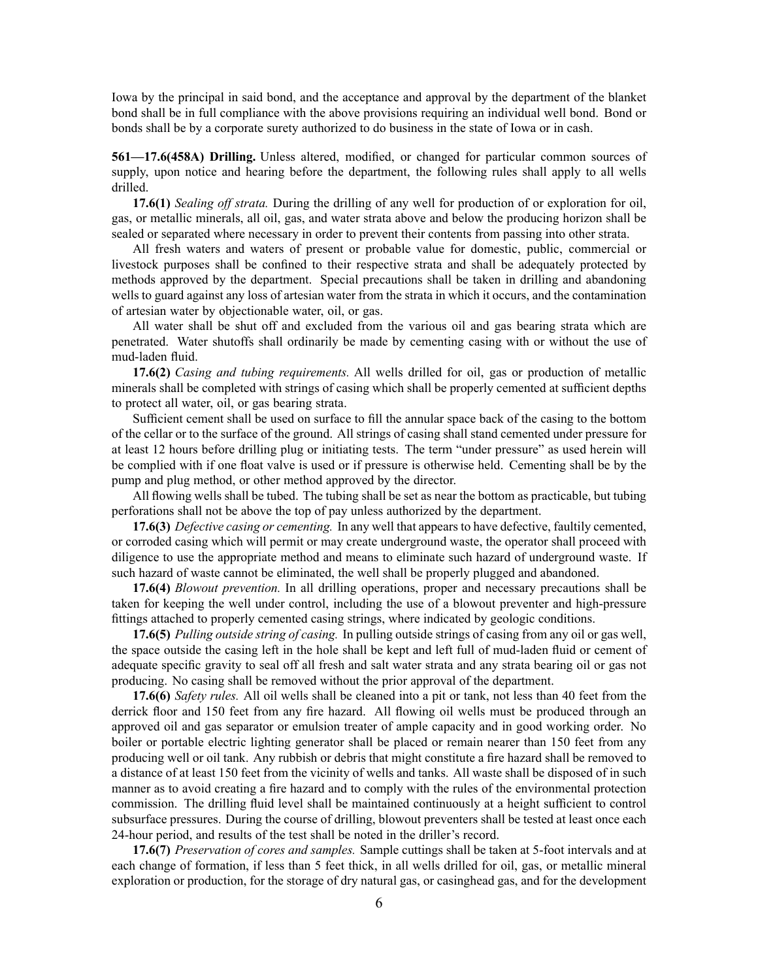Iowa by the principal in said bond, and the acceptance and approval by the department of the blanket bond shall be in full compliance with the above provisions requiring an individual well bond. Bond or bonds shall be by <sup>a</sup> corporate surety authorized to do business in the state of Iowa or in cash.

**561—17.6(458A) Drilling.** Unless altered, modified, or changed for particular common sources of supply, upon notice and hearing before the department, the following rules shall apply to all wells drilled.

**17.6(1)** *Sealing off strata.* During the drilling of any well for production of or exploration for oil, gas, or metallic minerals, all oil, gas, and water strata above and below the producing horizon shall be sealed or separated where necessary in order to preven<sup>t</sup> their contents from passing into other strata.

All fresh waters and waters of presen<sup>t</sup> or probable value for domestic, public, commercial or livestock purposes shall be confined to their respective strata and shall be adequately protected by methods approved by the department. Special precautions shall be taken in drilling and abandoning wells to guard against any loss of artesian water from the strata in which it occurs, and the contamination of artesian water by objectionable water, oil, or gas.

All water shall be shut off and excluded from the various oil and gas bearing strata which are penetrated. Water shutoffs shall ordinarily be made by cementing casing with or without the use of mud-laden fluid.

**17.6(2)** *Casing and tubing requirements.* All wells drilled for oil, gas or production of metallic minerals shall be completed with strings of casing which shall be properly cemented at sufficient depths to protect all water, oil, or gas bearing strata.

Sufficient cement shall be used on surface to fill the annular space back of the casing to the bottom of the cellar or to the surface of the ground. All strings of casing shall stand cemented under pressure for at least 12 hours before drilling plug or initiating tests. The term "under pressure" as used herein will be complied with if one float valve is used or if pressure is otherwise held. Cementing shall be by the pump and plug method, or other method approved by the director.

All flowing wells shall be tubed. The tubing shall be set as near the bottom as practicable, but tubing perforations shall not be above the top of pay unless authorized by the department.

**17.6(3)** *Defective casing or cementing.* In any well that appears to have defective, faultily cemented, or corroded casing which will permit or may create underground waste, the operator shall proceed with diligence to use the appropriate method and means to eliminate such hazard of underground waste. If such hazard of waste cannot be eliminated, the well shall be properly plugged and abandoned.

**17.6(4)** *Blowout prevention.* In all drilling operations, proper and necessary precautions shall be taken for keeping the well under control, including the use of <sup>a</sup> blowout preventer and high-pressure fittings attached to properly cemented casing strings, where indicated by geologic conditions.

**17.6(5)** *Pulling outside string of casing.* In pulling outside strings of casing from any oil or gas well, the space outside the casing left in the hole shall be kept and left full of mud-laden fluid or cement of adequate specific gravity to seal off all fresh and salt water strata and any strata bearing oil or gas not producing. No casing shall be removed without the prior approval of the department.

**17.6(6)** *Safety rules.* All oil wells shall be cleaned into <sup>a</sup> pit or tank, not less than 40 feet from the derrick floor and 150 feet from any fire hazard. All flowing oil wells must be produced through an approved oil and gas separator or emulsion treater of ample capacity and in good working order. No boiler or portable electric lighting generator shall be placed or remain nearer than 150 feet from any producing well or oil tank. Any rubbish or debris that might constitute <sup>a</sup> fire hazard shall be removed to <sup>a</sup> distance of at least 150 feet from the vicinity of wells and tanks. All waste shall be disposed of in such manner as to avoid creating <sup>a</sup> fire hazard and to comply with the rules of the environmental protection commission. The drilling fluid level shall be maintained continuously at <sup>a</sup> height sufficient to control subsurface pressures. During the course of drilling, blowout preventers shall be tested at least once each 24-hour period, and results of the test shall be noted in the driller's record.

**17.6(7)** *Preservation of cores and samples.* Sample cuttings shall be taken at 5-foot intervals and at each change of formation, if less than 5 feet thick, in all wells drilled for oil, gas, or metallic mineral exploration or production, for the storage of dry natural gas, or casinghead gas, and for the development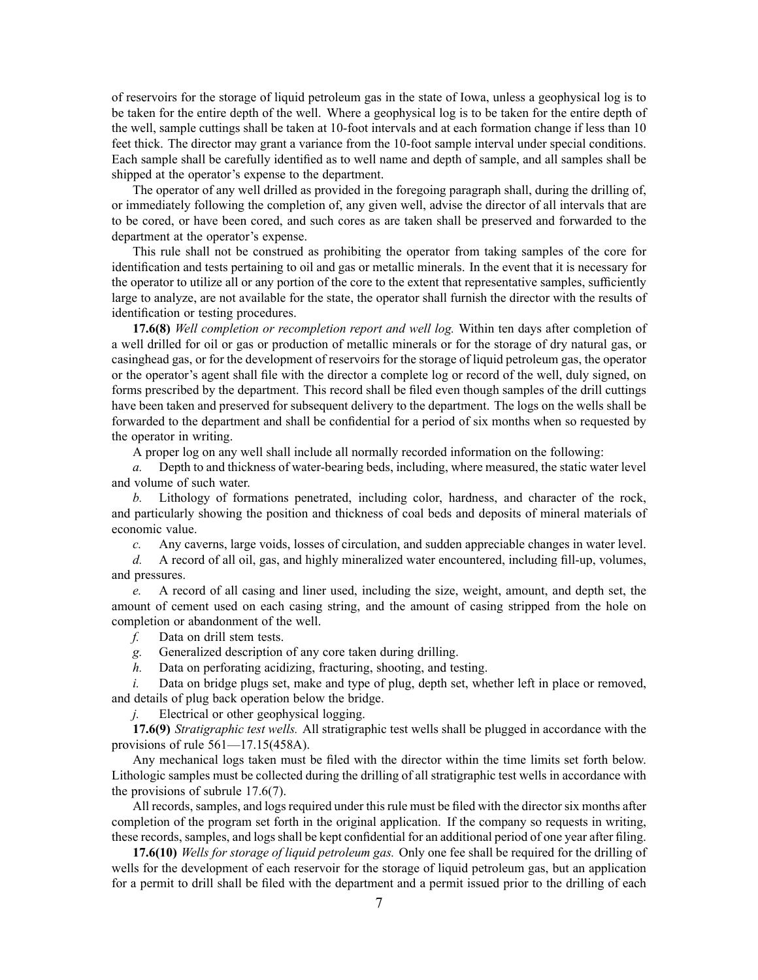of reservoirs for the storage of liquid petroleum gas in the state of Iowa, unless <sup>a</sup> geophysical log is to be taken for the entire depth of the well. Where <sup>a</sup> geophysical log is to be taken for the entire depth of the well, sample cuttings shall be taken at 10-foot intervals and at each formation change if less than 10 feet thick. The director may gran<sup>t</sup> <sup>a</sup> variance from the 10-foot sample interval under special conditions. Each sample shall be carefully identified as to well name and depth of sample, and all samples shall be shipped at the operator's expense to the department.

The operator of any well drilled as provided in the foregoing paragraph shall, during the drilling of, or immediately following the completion of, any given well, advise the director of all intervals that are to be cored, or have been cored, and such cores as are taken shall be preserved and forwarded to the department at the operator's expense.

This rule shall not be construed as prohibiting the operator from taking samples of the core for identification and tests pertaining to oil and gas or metallic minerals. In the event that it is necessary for the operator to utilize all or any portion of the core to the extent that representative samples, sufficiently large to analyze, are not available for the state, the operator shall furnish the director with the results of identification or testing procedures.

**17.6(8)** *Well completion or recompletion repor<sup>t</sup> and well log.* Within ten days after completion of <sup>a</sup> well drilled for oil or gas or production of metallic minerals or for the storage of dry natural gas, or casinghead gas, or for the development of reservoirs for the storage of liquid petroleum gas, the operator or the operator's agen<sup>t</sup> shall file with the director <sup>a</sup> complete log or record of the well, duly signed, on forms prescribed by the department. This record shall be filed even though samples of the drill cuttings have been taken and preserved for subsequent delivery to the department. The logs on the wells shall be forwarded to the department and shall be confidential for <sup>a</sup> period of six months when so requested by the operator in writing.

A proper log on any well shall include all normally recorded information on the following:

*a.* Depth to and thickness of water-bearing beds, including, where measured, the static water level and volume of such water.

*b.* Lithology of formations penetrated, including color, hardness, and character of the rock, and particularly showing the position and thickness of coal beds and deposits of mineral materials of economic value.

*c.* Any caverns, large voids, losses of circulation, and sudden appreciable changes in water level.

*d.* A record of all oil, gas, and highly mineralized water encountered, including fill-up, volumes, and pressures.

*e.* A record of all casing and liner used, including the size, weight, amount, and depth set, the amount of cement used on each casing string, and the amount of casing stripped from the hole on completion or abandonment of the well.

*f.* Data on drill stem tests.

- *g.* Generalized description of any core taken during drilling.
- *h.* Data on perforating acidizing, fracturing, shooting, and testing.

*i.* Data on bridge plugs set, make and type of plug, depth set, whether left in place or removed, and details of plug back operation below the bridge.

*j.* Electrical or other geophysical logging.

**17.6(9)** *Stratigraphic test wells.* All stratigraphic test wells shall be plugged in accordance with the provisions of rule [561—17.15](https://www.legis.iowa.gov/docs/iac/rule/561.17.15.pdf)(458A).

Any mechanical logs taken must be filed with the director within the time limits set forth below. Lithologic samples must be collected during the drilling of all stratigraphic test wells in accordance with the provisions of subrule [17.6\(7\)](https://www.legis.iowa.gov/docs/iac/rule/561.17.6.pdf).

All records, samples, and logs required under this rule must be filed with the director six months after completion of the program set forth in the original application. If the company so requests in writing, these records, samples, and logs shall be kept confidential for an additional period of one year after filing.

**17.6(10)** *Wells for storage of liquid petroleum gas.* Only one fee shall be required for the drilling of wells for the development of each reservoir for the storage of liquid petroleum gas, but an application for <sup>a</sup> permit to drill shall be filed with the department and <sup>a</sup> permit issued prior to the drilling of each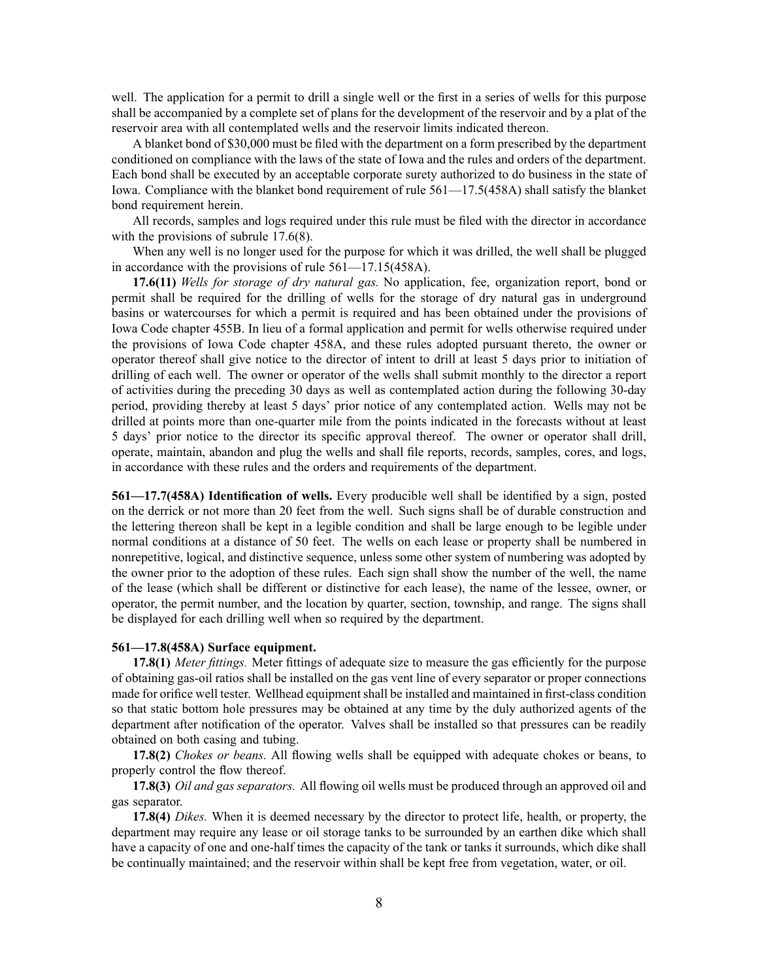well. The application for <sup>a</sup> permit to drill <sup>a</sup> single well or the first in <sup>a</sup> series of wells for this purpose shall be accompanied by <sup>a</sup> complete set of plans for the development of the reservoir and by <sup>a</sup> plat of the reservoir area with all contemplated wells and the reservoir limits indicated thereon.

A blanket bond of \$30,000 must be filed with the department on <sup>a</sup> form prescribed by the department conditioned on compliance with the laws of the state of Iowa and the rules and orders of the department. Each bond shall be executed by an acceptable corporate surety authorized to do business in the state of Iowa. Compliance with the blanket bond requirement of rule [561—17.5](https://www.legis.iowa.gov/docs/iac/rule/561.17.5.pdf)(458A) shall satisfy the blanket bond requirement herein.

All records, samples and logs required under this rule must be filed with the director in accordance with the provisions of subrule [17.6\(8\)](https://www.legis.iowa.gov/docs/iac/rule/561.17.6.pdf).

When any well is no longer used for the purpose for which it was drilled, the well shall be plugged in accordance with the provisions of rule [561—17.15](https://www.legis.iowa.gov/docs/iac/rule/561.17.15.pdf)(458A).

**17.6(11)** *Wells for storage of dry natural gas.* No application, fee, organization report, bond or permit shall be required for the drilling of wells for the storage of dry natural gas in underground basins or watercourses for which <sup>a</sup> permit is required and has been obtained under the provisions of Iowa Code chapter [455B](https://www.legis.iowa.gov/docs/ico/chapter/455B.pdf). In lieu of <sup>a</sup> formal application and permit for wells otherwise required under the provisions of Iowa Code chapter [458A](https://www.legis.iowa.gov/docs/ico/chapter/458A.pdf), and these rules adopted pursuan<sup>t</sup> thereto, the owner or operator thereof shall give notice to the director of intent to drill at least 5 days prior to initiation of drilling of each well. The owner or operator of the wells shall submit monthly to the director <sup>a</sup> repor<sup>t</sup> of activities during the preceding 30 days as well as contemplated action during the following 30-day period, providing thereby at least 5 days' prior notice of any contemplated action. Wells may not be drilled at points more than one-quarter mile from the points indicated in the forecasts without at least 5 days' prior notice to the director its specific approval thereof. The owner or operator shall drill, operate, maintain, abandon and plug the wells and shall file reports, records, samples, cores, and logs, in accordance with these rules and the orders and requirements of the department.

**561—17.7(458A) Identification of wells.** Every producible well shall be identified by <sup>a</sup> sign, posted on the derrick or not more than 20 feet from the well. Such signs shall be of durable construction and the lettering thereon shall be kept in <sup>a</sup> legible condition and shall be large enough to be legible under normal conditions at <sup>a</sup> distance of 50 feet. The wells on each lease or property shall be numbered in nonrepetitive, logical, and distinctive sequence, unless some other system of numbering was adopted by the owner prior to the adoption of these rules. Each sign shall show the number of the well, the name of the lease (which shall be different or distinctive for each lease), the name of the lessee, owner, or operator, the permit number, and the location by quarter, section, township, and range. The signs shall be displayed for each drilling well when so required by the department.

### **561—17.8(458A) Surface equipment.**

**17.8(1)** *Meter fittings.* Meter fittings of adequate size to measure the gas efficiently for the purpose of obtaining gas-oil ratios shall be installed on the gas vent line of every separator or proper connections made for orifice well tester. Wellhead equipment shall be installed and maintained in first-class condition so that static bottom hole pressures may be obtained at any time by the duly authorized agents of the department after notification of the operator. Valves shall be installed so that pressures can be readily obtained on both casing and tubing.

**17.8(2)** *Chokes or beans.* All flowing wells shall be equipped with adequate chokes or beans, to properly control the flow thereof.

**17.8(3)** *Oil and gas separators.* All flowing oil wells must be produced through an approved oil and gas separator.

**17.8(4)** *Dikes.* When it is deemed necessary by the director to protect life, health, or property, the department may require any lease or oil storage tanks to be surrounded by an earthen dike which shall have <sup>a</sup> capacity of one and one-half times the capacity of the tank or tanks it surrounds, which dike shall be continually maintained; and the reservoir within shall be kept free from vegetation, water, or oil.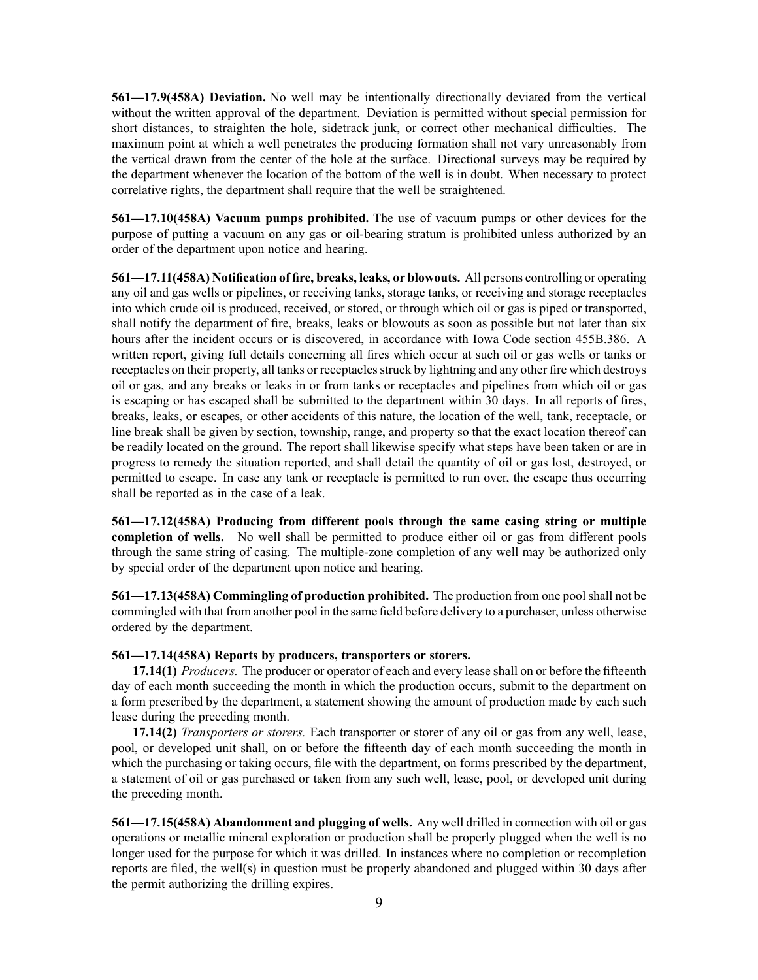**561—17.9(458A) Deviation.** No well may be intentionally directionally deviated from the vertical without the written approval of the department. Deviation is permitted without special permission for short distances, to straighten the hole, sidetrack junk, or correct other mechanical difficulties. The maximum point at which <sup>a</sup> well penetrates the producing formation shall not vary unreasonably from the vertical drawn from the center of the hole at the surface. Directional surveys may be required by the department whenever the location of the bottom of the well is in doubt. When necessary to protect correlative rights, the department shall require that the well be straightened.

**561—17.10(458A) Vacuum pumps prohibited.** The use of vacuum pumps or other devices for the purpose of putting <sup>a</sup> vacuum on any gas or oil-bearing stratum is prohibited unless authorized by an order of the department upon notice and hearing.

**561—17.11(458A) Notification of fire, breaks, leaks, or blowouts.** All persons controlling or operating any oil and gas wells or pipelines, or receiving tanks, storage tanks, or receiving and storage receptacles into which crude oil is produced, received, or stored, or through which oil or gas is piped or transported, shall notify the department of fire, breaks, leaks or blowouts as soon as possible but not later than six hours after the incident occurs or is discovered, in accordance with Iowa Code section [455B.386](https://www.legis.iowa.gov/docs/ico/section/455B.386.pdf). A written report, giving full details concerning all fires which occur at such oil or gas wells or tanks or receptacles on their property, all tanks or receptacles struck by lightning and any other fire which destroys oil or gas, and any breaks or leaks in or from tanks or receptacles and pipelines from which oil or gas is escaping or has escaped shall be submitted to the department within 30 days. In all reports of fires, breaks, leaks, or escapes, or other accidents of this nature, the location of the well, tank, receptacle, or line break shall be given by section, township, range, and property so that the exact location thereof can be readily located on the ground. The repor<sup>t</sup> shall likewise specify what steps have been taken or are in progress to remedy the situation reported, and shall detail the quantity of oil or gas lost, destroyed, or permitted to escape. In case any tank or receptacle is permitted to run over, the escape thus occurring shall be reported as in the case of <sup>a</sup> leak.

**561—17.12(458A) Producing from different pools through the same casing string or multiple completion of wells.** No well shall be permitted to produce either oil or gas from different pools through the same string of casing. The multiple-zone completion of any well may be authorized only by special order of the department upon notice and hearing.

**561—17.13(458A) Commingling of production prohibited.** The production from one poolshall not be commingled with that from another pool in the same field before delivery to <sup>a</sup> purchaser, unless otherwise ordered by the department.

### **561—17.14(458A) Reports by producers, transporters or storers.**

**17.14(1)** *Producers.* The producer or operator of each and every lease shall on or before the fifteenth day of each month succeeding the month in which the production occurs, submit to the department on <sup>a</sup> form prescribed by the department, <sup>a</sup> statement showing the amount of production made by each such lease during the preceding month.

**17.14(2)** *Transporters or storers.* Each transporter or storer of any oil or gas from any well, lease, pool, or developed unit shall, on or before the fifteenth day of each month succeeding the month in which the purchasing or taking occurs, file with the department, on forms prescribed by the department, <sup>a</sup> statement of oil or gas purchased or taken from any such well, lease, pool, or developed unit during the preceding month.

**561—17.15(458A) Abandonment and plugging of wells.** Any well drilled in connection with oil or gas operations or metallic mineral exploration or production shall be properly plugged when the well is no longer used for the purpose for which it was drilled. In instances where no completion or recompletion reports are filed, the well(s) in question must be properly abandoned and plugged within 30 days after the permit authorizing the drilling expires.